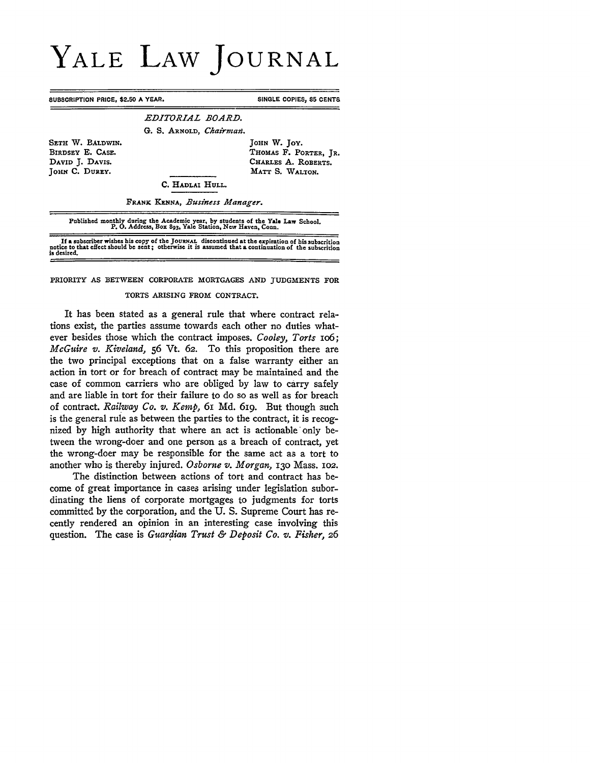## YALE LAW JOURNAL

| <b>SUBSCRIPTION PRICE, \$2.50 A YEAR.</b>                                 | SINGLE COPIES, 85 CENTS                                                                                                                                                                                  |
|---------------------------------------------------------------------------|----------------------------------------------------------------------------------------------------------------------------------------------------------------------------------------------------------|
|                                                                           | <i>EDITORIAL BOARD.</i>                                                                                                                                                                                  |
|                                                                           | G. S. ARNOLD, Chairman.                                                                                                                                                                                  |
| SETH W. BALDWIN.<br>BIRDSEY E. CASE.<br>DAVID J. DAVIS.<br>JOHN C. DUREY. | JOHN W. JOY.<br>THOMAS F. PORTER, JR.<br>CHARLES A. ROBERTS.<br>MATT S. WALTON.                                                                                                                          |
|                                                                           | C. HADLAI HULL.                                                                                                                                                                                          |
|                                                                           | FRANK KENNA, Business Manager.                                                                                                                                                                           |
|                                                                           | Published monthly during the Academic year, by students of the Yale Law School.<br>P. O. Address, Box 893, Yale Station, New Haven, Conn.                                                                |
|                                                                           | If a subscriber wishes his copy of the JOURNAL discontinued at the expiration of his subscrition<br>notice to that effect should be sent; otherwise it is assumed that a continuation of the subscrition |

is **desired.**

## **PRIORITY AS BETWEEN CORPORATE MORTGAGES AND JUDGMENTS FOR**

## **TORTS ARISING FROM CONTRACT.**

It has been stated as a general rule that where contract relations exist, the parties assume towards each other no duties whatever besides those which the contract imposes. *Cooley, Torts io6; McGuire v. Kiveland,* 56 Vt. **62.** To this proposition there are the two principal exceptions that on a false warranty either an action in tort or for breach of contract may be maintained and the case of common carriers who are obliged **by** law to carry safely and are liable in tort for their failure to do so as well as for breach of contract. *Railway Co. v. Kemp, 61* **Md.** 619. But though such is the general rule as between the parties to the contract, it is recognized by high authority that where an act is actionable only between the wrong-doer and one person as a breach of contract, yet the wrong-doer may be responsible for the same act as a tort to another who is thereby injured. *Osborne v. Morgan,* **130** Mass. lO2.

The distinction between actions of tort and contract has become of great importance in cases arising under legislation subordinating the liens of corporate mortgages to judgments for torts committed by the corporation, and the U. S. Supreme Court has recently rendered an opinion in an interesting case involving this question. The case is *Guardian Trust & Deposit Co. v. Fisher, 26*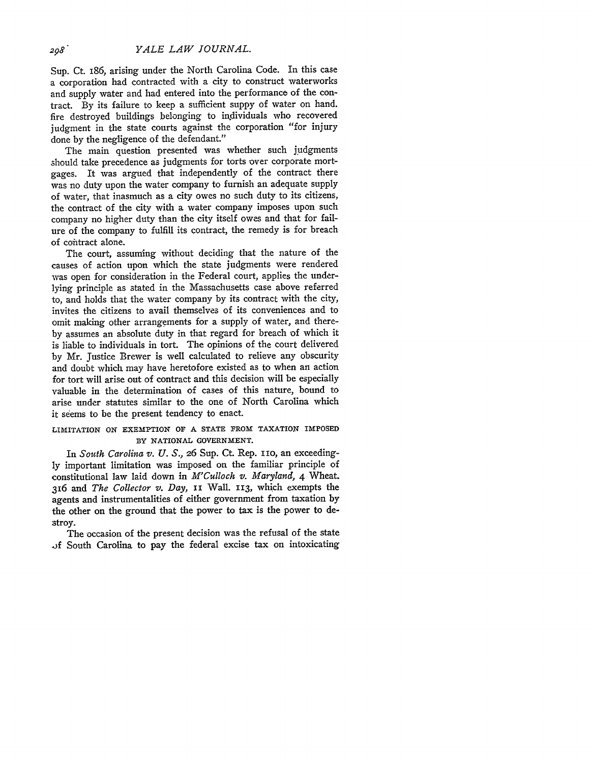Sup. Ct. 186, arising under the North Carolina Code. In this case a corporation had contracted with a city to construct waterworks and supply water and had entered into the performance of the contract. By its failure to keep a sufficient suppy of water on hand. fire destroyed buildings belonging to individuals who recovered judgment in the state courts against the corporation "for injury done by the negligence of the defendant."

The main question presented was whether such judgments should take precedence as judgments for torts over corporate mortgages. It was argued that independently of the contract there was no duty upon the water company to furnish an adequate supply of water, that inasmuch as a city owes no such duty to its citizens, the contract of the city with a water company imposes upon such company no higher duty than the city itself owes and that for failure of the company to fulfill its contract, the remedy is for breach of contract alone.

The court, assuming without deciding that the nature of the causes of action upon which the state judgments were rendered was open for consideration in the Federal court, applies the underlying principle as stated in the Massachusetts case above referred to, and holds that the water company by its contract with the city, invites the citizens to avail themselves of its conveniences and to omit making other arrangements for a supply of water, and thereby assumes an absolute duty in that regard for breach *'of* which it is liable to individuals in tort. The opinions of the court delivered by Mr. justice Brewer is well calculated to relieve any obscurity and doubt which may have heretofore existed as to when an action for tort will arise out of contract and this decision will be especially valuable in the determination of cases of this nature, bound to arise under statutes similar to the one of North Carolina which it seems to be the present tendency to enact.

## LIMITATION **ON** EXEMPTION **OF A STATE FROM** TAXATION **IMPOSED** BY **NATIONAL GOVERNMENT.**

In *South Carolina v. U. S.,* **26** Sup. Ct. Rep. n1o, an exceedingly important limitation was imposed on the familiar principle of constitutional law laid down in *M'Culloch v. Maryland,* 4 Wheat. 316 and *The Collector v. Day,* ii Wall. **i3,** which exempts the agents and instrumentalities of either government from taxation by the other on the ground that the power to tax is the power to destroy.

The occasion of the present decision was the refusal of the state **.f** South Carolina to pay the federal excise tax on intoxicating